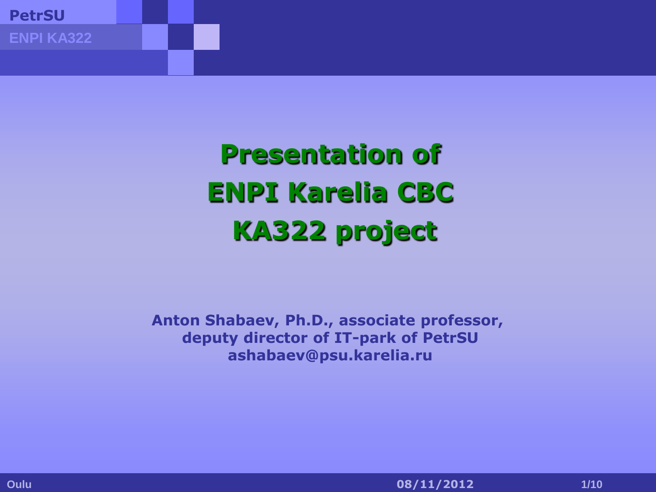**Presentation of ENPI Karelia CBC KA322 project**

**Anton Shabaev, Ph.D., associate professor, deputy director of IT-park of PetrSU ashabaev@psu.karelia.ru**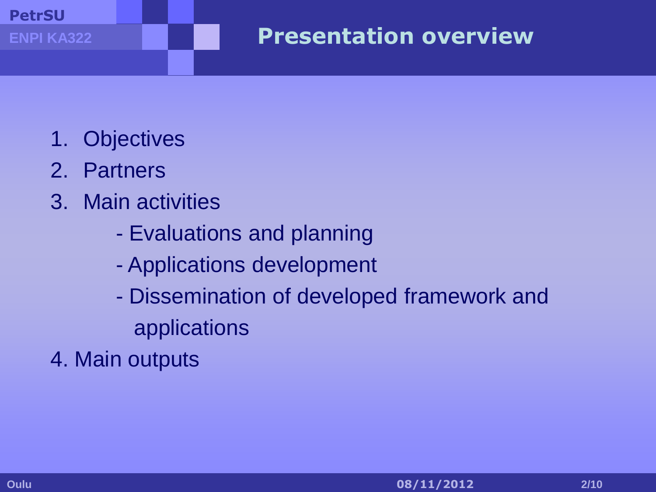- 1. Objectives
- 2. Partners
- 3. Main activities
	- Evaluations and planning
	- Applications development
	- Dissemination of developed framework and applications
- 4. Main outputs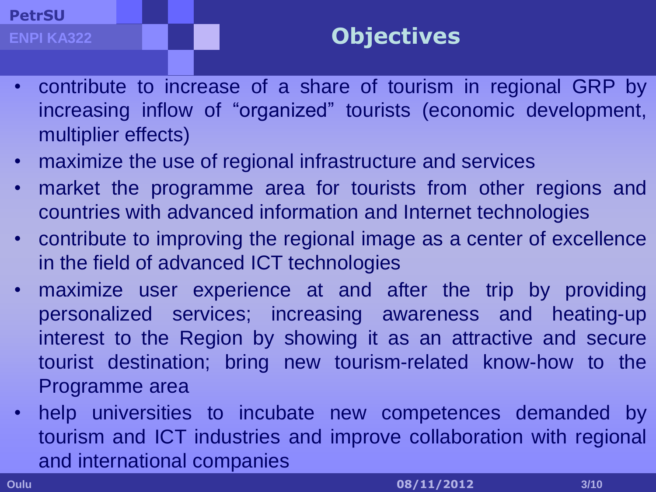## **Objectives**

- contribute to increase of a share of tourism in regional GRP by increasing inflow of "organized" tourists (economic development, multiplier effects)
- maximize the use of regional infrastructure and services
- market the programme area for tourists from other regions and countries with advanced information and Internet technologies
- contribute to improving the regional image as a center of excellence in the field of advanced ICT technologies
- maximize user experience at and after the trip by providing personalized services; increasing awareness and heating-up interest to the Region by showing it as an attractive and secure tourist destination; bring new tourism-related know-how to the Programme area
- help universities to incubate new competences demanded by tourism and ICT industries and improve collaboration with regional and international companies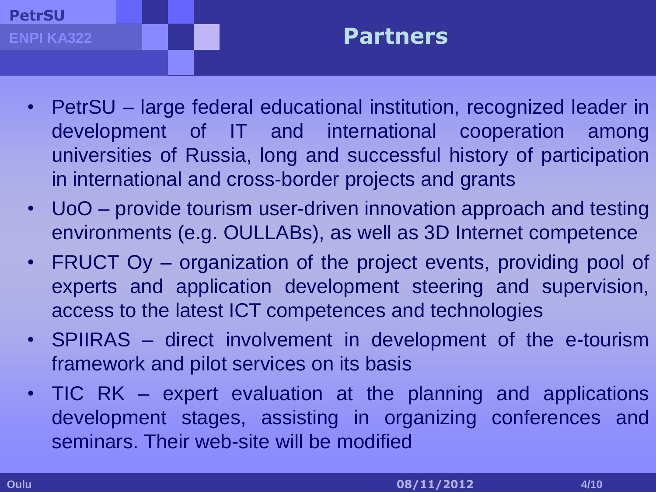#### **PetrSU ENPI KA322**

## **Partners**

- PetrSU large federal educational institution, recognized leader in development of IT and international cooperation among universities of Russia, long and successful history of participation in international and cross-border projects and grants
- UoO provide tourism user-driven innovation approach and testing environments (e.g. OULLABs), as well as 3D Internet competence
- FRUCT Oy organization of the project events, providing pool of experts and application development steering and supervision, access to the latest ICT competences and technologies
- SPIIRAS direct involvement in development of the e-tourism framework and pilot services on its basis
- TIC RK expert evaluation at the planning and applications development stages, assisting in organizing conferences and seminars. Their web-site will be modified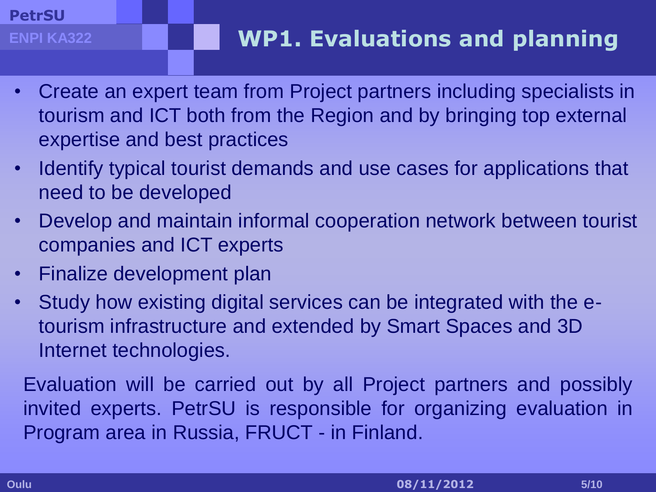**ENPI KA322**

- Create an expert team from Project partners including specialists in tourism and ICT both from the Region and by bringing top external expertise and best practices
- Identify typical tourist demands and use cases for applications that need to be developed
- Develop and maintain informal cooperation network between tourist companies and ICT experts
- Finalize development plan
- Study how existing digital services can be integrated with the etourism infrastructure and extended by Smart Spaces and 3D Internet technologies.

Evaluation will be carried out by all Project partners and possibly invited experts. PetrSU is responsible for organizing evaluation in Program area in Russia, FRUCT - in Finland.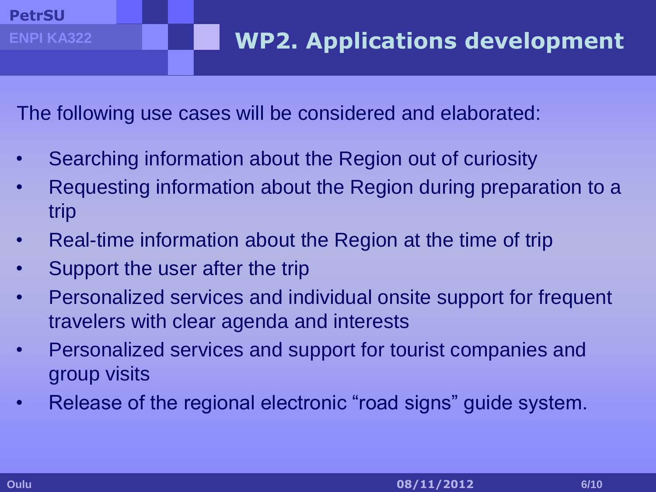**ENPI KA322**

The following use cases will be considered and elaborated:

- Searching information about the Region out of curiosity
- Requesting information about the Region during preparation to a trip
- Real-time information about the Region at the time of trip
- Support the user after the trip
- Personalized services and individual onsite support for frequent travelers with clear agenda and interests
- Personalized services and support for tourist companies and group visits
- Release of the regional electronic "road signs" guide system.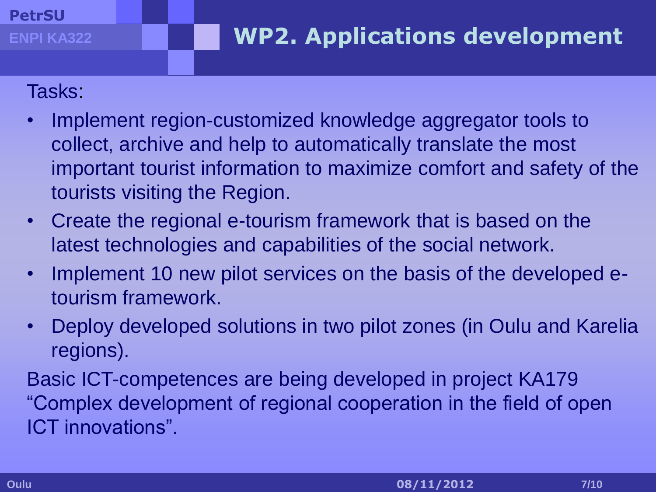### Tasks:

**ENPI KA322**

- Implement region-customized knowledge aggregator tools to collect, archive and help to automatically translate the most important tourist information to maximize comfort and safety of the tourists visiting the Region.
- Create the regional e-tourism framework that is based on the latest technologies and capabilities of the social network.
- Implement 10 new pilot services on the basis of the developed etourism framework.
- Deploy developed solutions in two pilot zones (in Oulu and Karelia regions).

Basic ICT-competences are being developed in project KA179 "Complex development of regional cooperation in the field of open ICT innovations".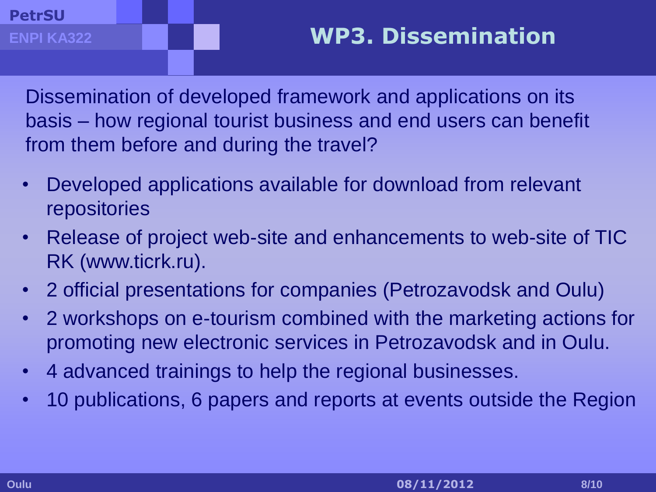Dissemination of developed framework and applications on its basis – how regional tourist business and end users can benefit from them before and during the travel?

- Developed applications available for download from relevant repositories
- Release of project web-site and enhancements to web-site of TIC RK (www.ticrk.ru).
- 2 official presentations for companies (Petrozavodsk and Oulu)
- 2 workshops on e-tourism combined with the marketing actions for promoting new electronic services in Petrozavodsk and in Oulu.
- 4 advanced trainings to help the regional businesses.
- 10 publications, 6 papers and reports at events outside the Region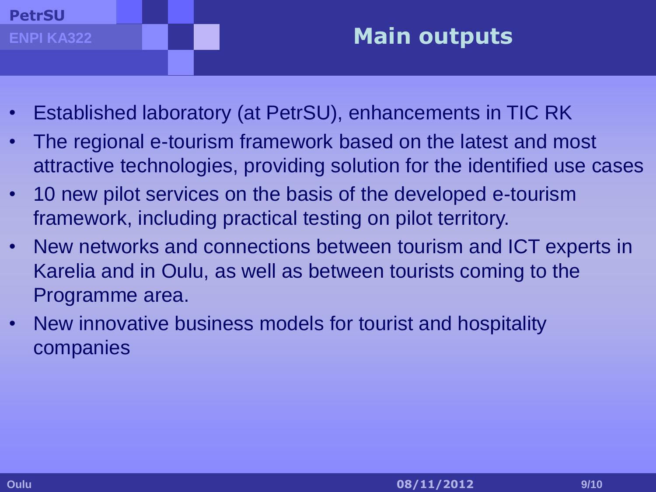## **Main outputs**

- Established laboratory (at PetrSU), enhancements in TIC RK
- The regional e-tourism framework based on the latest and most attractive technologies, providing solution for the identified use cases
- 10 new pilot services on the basis of the developed e-tourism framework, including practical testing on pilot territory.
- New networks and connections between tourism and ICT experts in Karelia and in Oulu, as well as between tourists coming to the Programme area.
- New innovative business models for tourist and hospitality companies